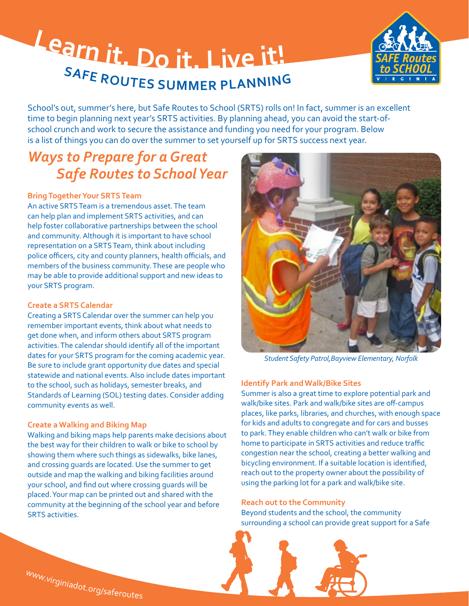# **<sup>L</sup>ear<sup>n</sup> <sup>i</sup>t. <sup>D</sup><sup>o</sup> <sup>i</sup>t. <sup>L</sup>iv<sup>e</sup> <sup>i</sup>t! SAFE ROUTES SUMMER PLANNING**



School's out, summer's here, but Safe Routes to School (SRTS) rolls on! In fact, summer is an excellent time to begin planning next year's SRTS activities. By planning ahead, you can avoid the start-ofschool crunch and work to secure the assistance and funding you need for your program. Below is a list of things you can do over the summer to set yourself up for SRTS success next year.

# *Ways to Prepare for a Great Safe Routes to School Year*

# **Bring Together Your SRTS Team**

An active SRTS Team is a tremendous asset. The team can help plan and implement SRTS activities, and can help foster collaborative partnerships between the school and community. Although it is important to have school representation on a SRTS Team, think about including police officers, city and county planners, health officials, and members of the business community. These are people who may be able to provide additional support and new ideas to your SRTS program.

#### **Create a SRTS Calendar**

Creating a SRTS Calendar over the summer can help you remember important events, think about what needs to get done when, and inform others about SRTS program activities. The calendar should identify all of the important dates for your SRTS program for the coming academic year. Be sure to include grant opportunity due dates and special statewide and national events. Also include dates important to the school, such as holidays, semester breaks, and Standards of Learning (SOL) testing dates. Consider adding community events as well.

# **Create a Walking and Biking Map**

Walking and biking maps help parents make decisions about the best way for their children to walk or bike to school by showing them where such things as sidewalks, bike lanes, and crossing guards are located. Use the summer to get outside and map the walking and biking facilities around your school, and find out where crossing guards will be placed. Your map can be printed out and shared with the community at the beginning of the school year and before SRTS activities.



*Student Safety Patrol,Bayview Elementary, Norfolk* 

# **Identify Park and Walk/Bike Sites**

Summer is also a great time to explore potential park and walk/bike sites. Park and walk/bike sites are off-campus places, like parks, libraries, and churches, with enough space for kids and adults to congregate and for cars and busses to park. They enable children who can't walk or bike from home to participate in SRTS activities and reduce traffic congestion near the school, creating a better walking and bicycling environment. If a suitable location is identified, reach out to the property owner about the possibility of using the parking lot for a park and walk/bike site.

#### **Reach out to the Community**

Beyond students and the school, the community surrounding a school can provide great support for a Safe



[w](www.virginiadot.org/saferoutes)[w](www.virginiadot.org/saferoutes)[w](www.virginiadot.org/saferoutes).[v](www.virginiadot.org/saferoutes)[i](www.virginiadot.org/saferoutes)[r](www.virginiadot.org/saferoutes)[g](www.virginiadot.org/saferoutes)[i](www.virginiadot.org/saferoutes)[n](www.virginiadot.org/saferoutes)[i](www.virginiadot.org/saferoutes)[a](www.virginiadot.org/saferoutes)[d](www.virginiadot.org/saferoutes)[o](www.virginiadot.org/saferoutes)[t](www.virginiadot.org/saferoutes).[o](www.virginiadot.org/saferoutes)[r](www.virginiadot.org/saferoutes)[g](www.virginiadot.org/saferoutes)[/](www.virginiadot.org/saferoutes)[s](www.virginiadot.org/saferoutes)[a](www.virginiadot.org/saferoutes)[f](www.virginiadot.org/saferoutes)[e](www.virginiadot.org/saferoutes)[r](www.virginiadot.org/saferoutes)[o](www.virginiadot.org/saferoutes)[u](www.virginiadot.org/saferoutes)[t](www.virginiadot.org/saferoutes)[e](www.virginiadot.org/saferoutes)[s](www.virginiadot.org/saferoutes)